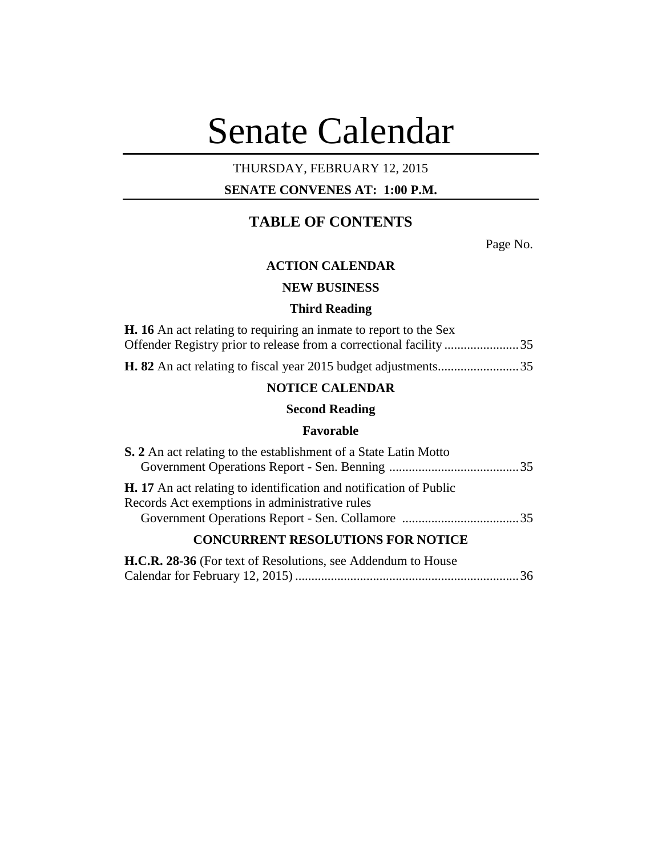# Senate Calendar

# THURSDAY, FEBRUARY 12, 2015

# **SENATE CONVENES AT: 1:00 P.M.**

# **TABLE OF CONTENTS**

Page No.

# **ACTION CALENDAR**

# **NEW BUSINESS**

#### **Third Reading**

| <b>H.</b> 16 An act relating to requiring an inmate to report to the Sex |
|--------------------------------------------------------------------------|
|                                                                          |
| <b>NOTICE CALENDAR</b>                                                   |
| <b>Second Reading</b>                                                    |
| Favorable                                                                |
| <b>S.</b> 2 An act relating to the establishment of a State Latin Motto  |
|                                                                          |

| <b>H.</b> 17 An act relating to identification and notification of Public |  |
|---------------------------------------------------------------------------|--|
| Records Act exemptions in administrative rules                            |  |
|                                                                           |  |
|                                                                           |  |

# **CONCURRENT RESOLUTIONS FOR NOTICE**

| H.C.R. 28-36 (For text of Resolutions, see Addendum to House |  |
|--------------------------------------------------------------|--|
|                                                              |  |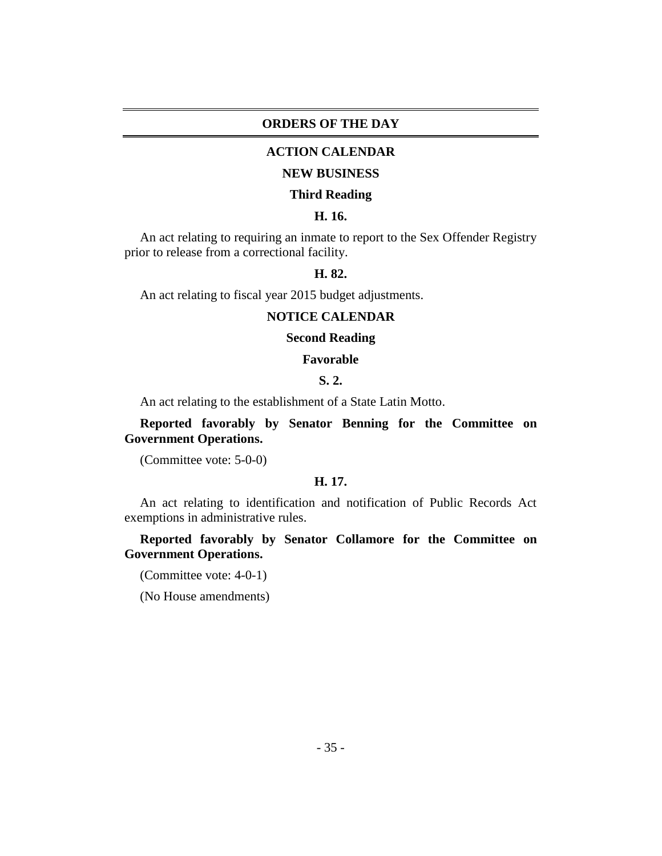#### **ORDERS OF THE DAY**

### **ACTION CALENDAR**

#### **NEW BUSINESS**

#### **Third Reading**

## **H. 16.**

An act relating to requiring an inmate to report to the Sex Offender Registry prior to release from a correctional facility.

# **H. 82.**

An act relating to fiscal year 2015 budget adjustments.

#### **NOTICE CALENDAR**

# **Second Reading**

#### **Favorable**

## **S. 2.**

An act relating to the establishment of a State Latin Motto.

**Reported favorably by Senator Benning for the Committee on Government Operations.**

(Committee vote: 5-0-0)

## **H. 17.**

An act relating to identification and notification of Public Records Act exemptions in administrative rules.

**Reported favorably by Senator Collamore for the Committee on Government Operations.**

(Committee vote: 4-0-1)

(No House amendments)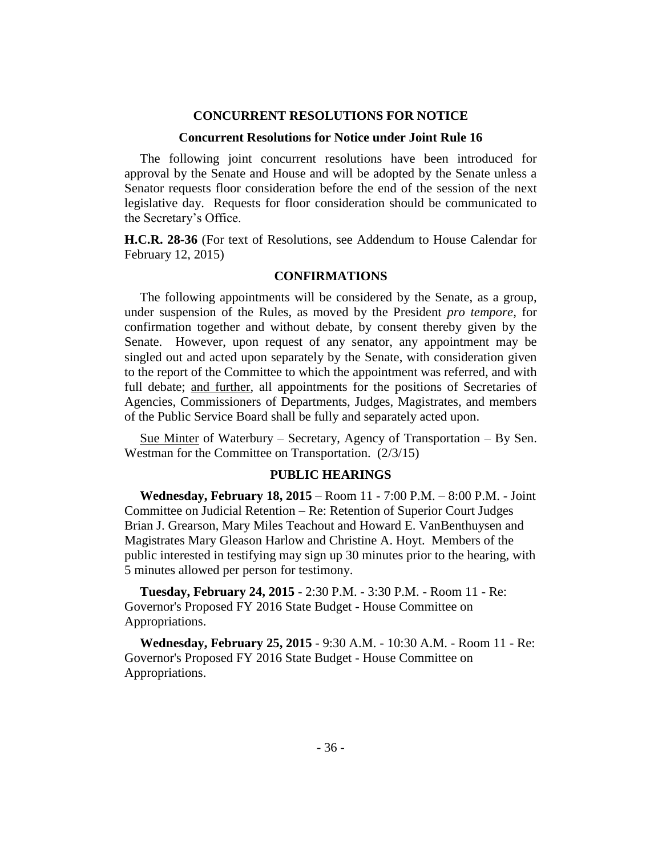#### **CONCURRENT RESOLUTIONS FOR NOTICE**

#### **Concurrent Resolutions for Notice under Joint Rule 16**

The following joint concurrent resolutions have been introduced for approval by the Senate and House and will be adopted by the Senate unless a Senator requests floor consideration before the end of the session of the next legislative day. Requests for floor consideration should be communicated to the Secretary's Office.

**H.C.R. 28-36** (For text of Resolutions, see Addendum to House Calendar for February 12, 2015)

## **CONFIRMATIONS**

The following appointments will be considered by the Senate, as a group, under suspension of the Rules, as moved by the President *pro tempore,* for confirmation together and without debate, by consent thereby given by the Senate. However, upon request of any senator, any appointment may be singled out and acted upon separately by the Senate, with consideration given to the report of the Committee to which the appointment was referred, and with full debate; and further, all appointments for the positions of Secretaries of Agencies, Commissioners of Departments, Judges, Magistrates, and members of the Public Service Board shall be fully and separately acted upon.

Sue Minter of Waterbury – Secretary, Agency of Transportation – By Sen. Westman for the Committee on Transportation. (2/3/15)

### **PUBLIC HEARINGS**

**Wednesday, February 18, 2015** – Room 11 - 7:00 P.M. – 8:00 P.M. - Joint Committee on Judicial Retention – Re: Retention of Superior Court Judges Brian J. Grearson, Mary Miles Teachout and Howard E. VanBenthuysen and Magistrates Mary Gleason Harlow and Christine A. Hoyt. Members of the public interested in testifying may sign up 30 minutes prior to the hearing, with 5 minutes allowed per person for testimony.

**Tuesday, February 24, 2015** - 2:30 P.M. - 3:30 P.M. - Room 11 - Re: Governor's Proposed FY 2016 State Budget - House Committee on Appropriations.

**Wednesday, February 25, 2015** - 9:30 A.M. - 10:30 A.M. - Room 11 - Re: Governor's Proposed FY 2016 State Budget - House Committee on Appropriations.